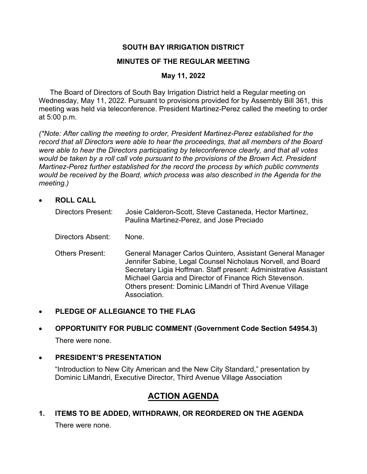### **SOUTH BAY IRRIGATION DISTRICT**

#### **MINUTES OF THE REGULAR MEETING**

#### **May 11, 2022**

The Board of Directors of South Bay Irrigation District held a Regular meeting on Wednesday, May 11, 2022. Pursuant to provisions provided for by Assembly Bill 361, this meeting was held via teleconference. President Martinez-Perez called the meeting to order at 5:00 p.m.

*(\*Note: After calling the meeting to order, President Martinez-Perez established for the record that all Directors were able to hear the proceedings, that all members of the Board were able to hear the Directors participating by teleconference clearly, and that all votes would be taken by a roll call vote pursuant to the provisions of the Brown Act. President Martinez-Perez further established for the record the process by which public comments would be received by the Board, which process was also described in the Agenda for the meeting.)* 

**ROLL CALL** 

| <b>Directors Present:</b> | Josie Calderon-Scott, Steve Castaneda, Hector Martinez,<br>Paulina Martinez-Perez, and Jose Preciado                                                                                                                                                                                                                                |
|---------------------------|-------------------------------------------------------------------------------------------------------------------------------------------------------------------------------------------------------------------------------------------------------------------------------------------------------------------------------------|
| Directors Absent:         | None.                                                                                                                                                                                                                                                                                                                               |
| <b>Others Present:</b>    | General Manager Carlos Quintero, Assistant General Manager<br>Jennifer Sabine, Legal Counsel Nicholaus Norvell, and Board<br>Secretary Ligia Hoffman. Staff present: Administrative Assistant<br>Michael Garcia and Director of Finance Rich Stevenson.<br>Others present: Dominic LiMandri of Third Avenue Village<br>Association. |

#### **PLEDGE OF ALLEGIANCE TO THE FLAG**

# **OPPORTUNITY FOR PUBLIC COMMENT (Government Code Section 54954.3)** There were none.

#### **PRESIDENT'S PRESENTATION**

"Introduction to New City American and the New City Standard," presentation by Dominic LiMandri, Executive Director, Third Avenue Village Association

# **ACTION AGENDA**

**1. ITEMS TO BE ADDED, WITHDRAWN, OR REORDERED ON THE AGENDA**  There were none.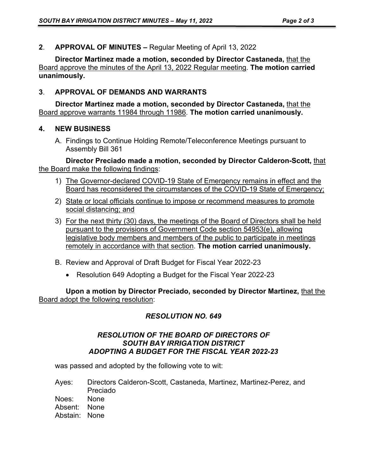**2**. **APPROVAL OF MINUTES –** Regular Meeting of April 13, 2022

**Director Martinez made a motion, seconded by Director Castaneda,** that the Board approve the minutes of the April 13, 2022 Regular meeting. **The motion carried unanimously.** 

## **3**. **APPROVAL OF DEMANDS AND WARRANTS**

**Director Martinez made a motion, seconded by Director Castaneda,** that the Board approve warrants 11984 through 11986. **The motion carried unanimously.** 

#### **4. NEW BUSINESS**

A. Findings to Continue Holding Remote/Teleconference Meetings pursuant to Assembly Bill 361

**Director Preciado made a motion, seconded by Director Calderon-Scott,** that the Board make the following findings:

- 1) The Governor-declared COVID-19 State of Emergency remains in effect and the Board has reconsidered the circumstances of the COVID-19 State of Emergency;
- 2) State or local officials continue to impose or recommend measures to promote social distancing; and
- 3) For the next thirty (30) days, the meetings of the Board of Directors shall be held pursuant to the provisions of Government Code section 54953(e), allowing legislative body members and members of the public to participate in meetings remotely in accordance with that section. **The motion carried unanimously.**
- B. Review and Approval of Draft Budget for Fiscal Year 2022-23
	- Resolution 649 Adopting a Budget for the Fiscal Year 2022-23

**Upon a motion by Director Preciado, seconded by Director Martinez,** that the Board adopt the following resolution:

### *RESOLUTION NO. 649*

#### *RESOLUTION OF THE BOARD OF DIRECTORS OF SOUTH BAY IRRIGATION DISTRICT ADOPTING A BUDGET FOR THE FISCAL YEAR 2022-23*

was passed and adopted by the following vote to wit:

Ayes: Directors Calderon-Scott, Castaneda, Martinez, Martinez-Perez, and Preciado Noes: None

Absent: None

Abstain: None